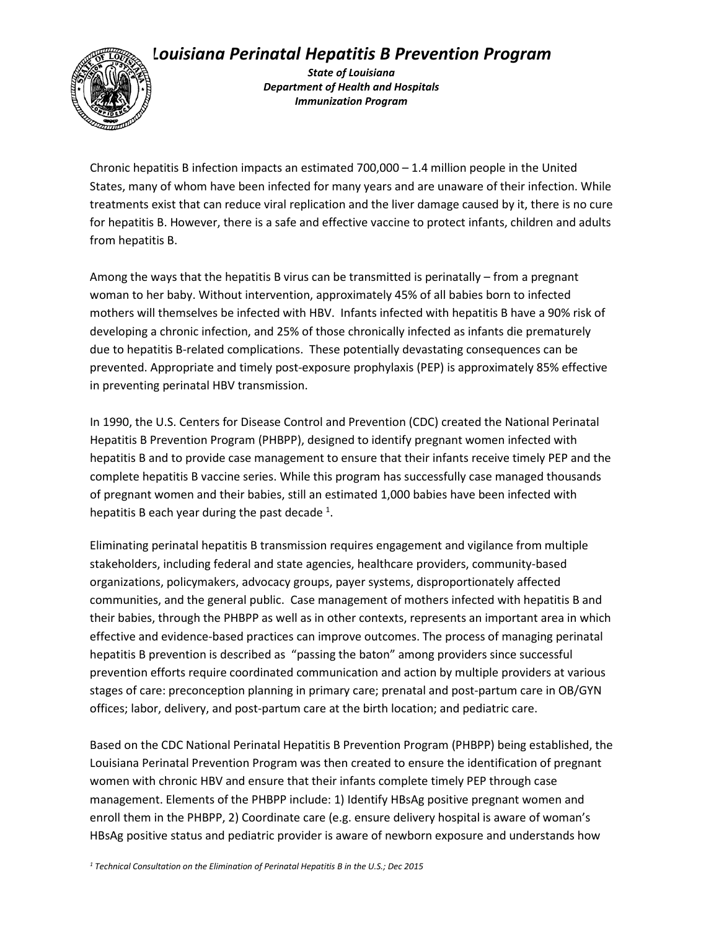## *Louisiana Perinatal Hepatitis B Prevention Program*



*State of Louisiana Department of Health and Hospitals Immunization Program*

Chronic hepatitis B infection impacts an estimated 700,000 – 1.4 million people in the United States, many of whom have been infected for many years and are unaware of their infection. While treatments exist that can reduce viral replication and the liver damage caused by it, there is no cure for hepatitis B. However, there is a safe and effective vaccine to protect infants, children and adults from hepatitis B.

Among the ways that the hepatitis B virus can be transmitted is perinatally – from a pregnant woman to her baby. Without intervention, approximately 45% of all babies born to infected mothers will themselves be infected with HBV. Infants infected with hepatitis B have a 90% risk of developing a chronic infection, and 25% of those chronically infected as infants die prematurely due to hepatitis B-related complications. These potentially devastating consequences can be prevented. Appropriate and timely post-exposure prophylaxis (PEP) is approximately 85% effective in preventing perinatal HBV transmission.

In 1990, the U.S. Centers for Disease Control and Prevention (CDC) created the National Perinatal Hepatitis B Prevention Program (PHBPP), designed to identify pregnant women infected with hepatitis B and to provide case management to ensure that their infants receive timely PEP and the complete hepatitis B vaccine series. While this program has successfully case managed thousands of pregnant women and their babies, still an estimated 1,000 babies have been infected with hepatitis B each year during the past decade  $^{1}$ .

Eliminating perinatal hepatitis B transmission requires engagement and vigilance from multiple stakeholders, including federal and state agencies, healthcare providers, community-based organizations, policymakers, advocacy groups, payer systems, disproportionately affected communities, and the general public. Case management of mothers infected with hepatitis B and their babies, through the PHBPP as well as in other contexts, represents an important area in which effective and evidence-based practices can improve outcomes. The process of managing perinatal hepatitis B prevention is described as "passing the baton" among providers since successful prevention efforts require coordinated communication and action by multiple providers at various stages of care: preconception planning in primary care; prenatal and post-partum care in OB/GYN offices; labor, delivery, and post-partum care at the birth location; and pediatric care.

Based on the CDC National Perinatal Hepatitis B Prevention Program (PHBPP) being established, the Louisiana Perinatal Prevention Program was then created to ensure the identification of pregnant women with chronic HBV and ensure that their infants complete timely PEP through case management. Elements of the PHBPP include: 1) Identify HBsAg positive pregnant women and enroll them in the PHBPP, 2) Coordinate care (e.g. ensure delivery hospital is aware of woman's HBsAg positive status and pediatric provider is aware of newborn exposure and understands how